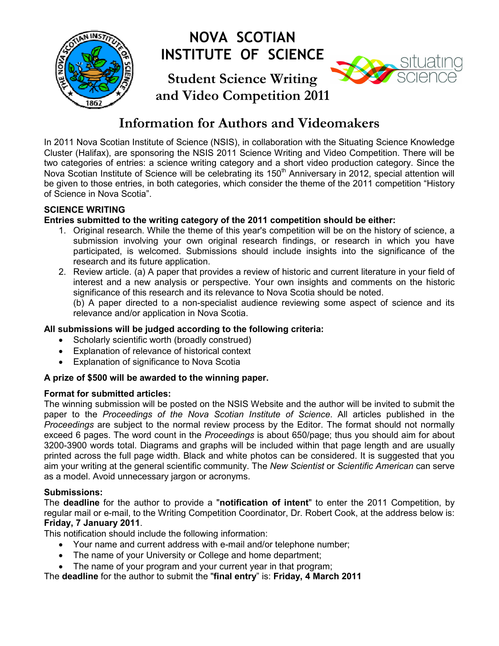

# **NOVA SCOTIAN INSTITUTE OF SCIENCE**

# **Student Science Writing and Video Competition 2011**



# **Information for Authors and Videomakers**

In 2011 Nova Scotian Institute of Science (NSIS), in collaboration with the Situating Science Knowledge Cluster (Halifax), are sponsoring the NSIS 2011 Science Writing and Video Competition. There will be two categories of entries: a science writing category and a short video production category. Since the Nova Scotian Institute of Science will be celebrating its 150<sup>th</sup> Anniversary in 2012, special attention will be given to those entries, in both categories, which consider the theme of the 2011 competition "History of Science in Nova Scotia".

# **SCIENCE WRITING**

# **Entries submitted to the writing category of the 2011 competition should be either:**

- 1. Original research. While the theme of this year's competition will be on the history of science, a submission involving your own original research findings, or research in which you have participated, is welcomed. Submissions should include insights into the significance of the research and its future application.
- 2. Review article. (a) A paper that provides a review of historic and current literature in your field of interest and a new analysis or perspective. Your own insights and comments on the historic significance of this research and its relevance to Nova Scotia should be noted.

(b) A paper directed to a non-specialist audience reviewing some aspect of science and its relevance and/or application in Nova Scotia.

# **All submissions will be judged according to the following criteria:**

- Scholarly scientific worth (broadly construed)
- Explanation of relevance of historical context
- Explanation of significance to Nova Scotia

## **A prize of \$500 will be awarded to the winning paper.**

## **Format for submitted articles:**

The winning submission will be posted on the NSIS Website and the author will be invited to submit the paper to the *Proceedings of the Nova Scotian Institute of Science*. All articles published in the *Proceedings* are subject to the normal review process by the Editor. The format should not normally exceed 6 pages. The word count in the *Proceedings* is about 650/page; thus you should aim for about 3200-3900 words total. Diagrams and graphs will be included within that page length and are usually printed across the full page width. Black and white photos can be considered. It is suggested that you aim your writing at the general scientific community. The *New Scientist* or *Scientific American* can serve as a model. Avoid unnecessary jargon or acronyms.

# **Submissions:**

The **deadline** for the author to provide a "**notification of intent**" to enter the 2011 Competition, by regular mail or e-mail, to the Writing Competition Coordinator, Dr. Robert Cook, at the address below is: **Friday, 7 January 2011**.

This notification should include the following information:

- Your name and current address with e-mail and/or telephone number;
- The name of your University or College and home department;
- The name of your program and your current year in that program;

The **deadline** for the author to submit the "**final entry**" is: **Friday, 4 March 2011**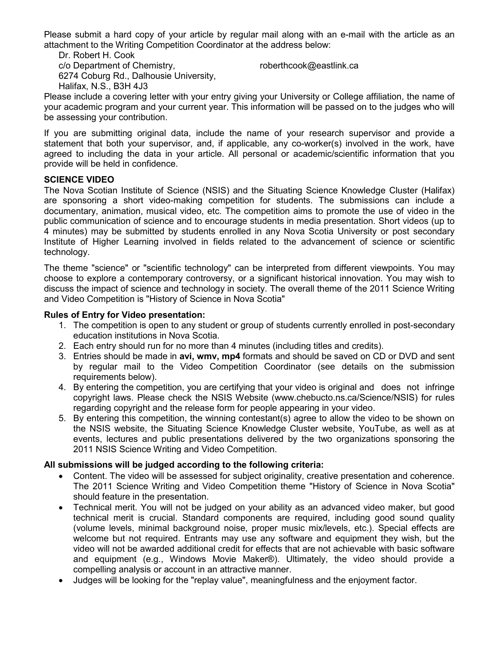Please submit a hard copy of your article by regular mail along with an e-mail with the article as an attachment to the Writing Competition Coordinator at the address below:

Dr. Robert H. Cook c/o Department of Chemistry, 6274 Coburg Rd., Dalhousie University, Halifax, N.S., B3H 4J3

roberthcook@eastlink.ca

Please include a covering letter with your entry giving your University or College affiliation, the name of your academic program and your current year. This information will be passed on to the judges who will be assessing your contribution.

If you are submitting original data, include the name of your research supervisor and provide a statement that both your supervisor, and, if applicable, any co-worker(s) involved in the work, have agreed to including the data in your article. All personal or academic/scientific information that you provide will be held in confidence.

# **SCIENCE VIDEO**

The Nova Scotian Institute of Science (NSIS) and the Situating Science Knowledge Cluster (Halifax) are sponsoring a short video-making competition for students. The submissions can include a documentary, animation, musical video, etc. The competition aims to promote the use of video in the public communication of science and to encourage students in media presentation. Short videos (up to 4 minutes) may be submitted by students enrolled in any Nova Scotia University or post secondary Institute of Higher Learning involved in fields related to the advancement of science or scientific technology.

The theme "science" or "scientific technology" can be interpreted from different viewpoints. You may choose to explore a contemporary controversy, or a significant historical innovation. You may wish to discuss the impact of science and technology in society. The overall theme of the 2011 Science Writing and Video Competition is "History of Science in Nova Scotia"

## **Rules of Entry for Video presentation:**

- 1. The competition is open to any student or group of students currently enrolled in post-secondary education institutions in Nova Scotia.
- 2. Each entry should run for no more than 4 minutes (including titles and credits).
- 3. Entries should be made in **avi, wmv, mp4** formats and should be saved on CD or DVD and sent by regular mail to the Video Competition Coordinator (see details on the submission requirements below).
- 4. By entering the competition, you are certifying that your video is original and does not infringe copyright laws. Please check the NSIS Website (www.chebucto.ns.ca/Science/NSIS) for rules regarding copyright and the release form for people appearing in your video.
- 5. By entering this competition, the winning contestant(s) agree to allow the video to be shown on the NSIS website, the Situating Science Knowledge Cluster website, YouTube, as well as at events, lectures and public presentations delivered by the two organizations sponsoring the 2011 NSIS Science Writing and Video Competition.

## **All submissions will be judged according to the following criteria:**

- Content. The video will be assessed for subject originality, creative presentation and coherence. The 2011 Science Writing and Video Competition theme "History of Science in Nova Scotia" should feature in the presentation.
- Technical merit. You will not be judged on your ability as an advanced video maker, but good technical merit is crucial. Standard components are required, including good sound quality (volume levels, minimal background noise, proper music mix/levels, etc.). Special effects are welcome but not required. Entrants may use any software and equipment they wish, but the video will not be awarded additional credit for effects that are not achievable with basic software and equipment (e.g., Windows Movie Maker®). Ultimately, the video should provide a compelling analysis or account in an attractive manner.
- Judges will be looking for the "replay value", meaningfulness and the enjoyment factor.